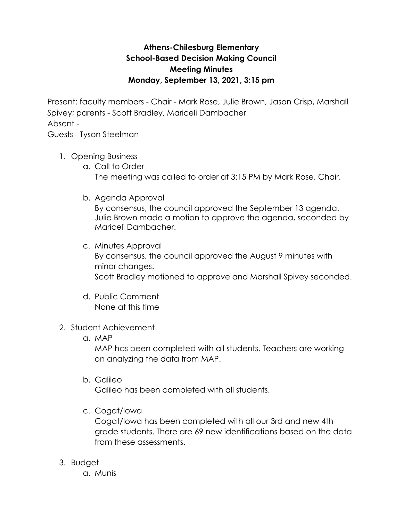## **Athens-Chilesburg Elementary School-Based Decision Making Council Meeting Minutes Monday, September 13, 2021, 3:15 pm**

Present: faculty members - Chair - Mark Rose, Julie Brown, Jason Crisp, Marshall Spivey; parents - Scott Bradley, Mariceli Dambacher Absent -

Guests - Tyson Steelman

- 1. Opening Business
	- a. Call to Order The meeting was called to order at 3:15 PM by Mark Rose, Chair.
	- b. Agenda Approval

By consensus, the council approved the September 13 agenda. Julie Brown made a motion to approve the agenda, seconded by Mariceli Dambacher.

- c. Minutes Approval By consensus, the council approved the August 9 minutes with minor changes. Scott Bradley motioned to approve and Marshall Spivey seconded.
- d. Public Comment None at this time
- 2. Student Achievement
	- a. MAP

MAP has been completed with all students. Teachers are working on analyzing the data from MAP.

b. Galileo

Galileo has been completed with all students.

c. Cogat/Iowa

Cogat/Iowa has been completed with all our 3rd and new 4th grade students. There are 69 new identifications based on the data from these assessments.

- 3. Budget
	- a. Munis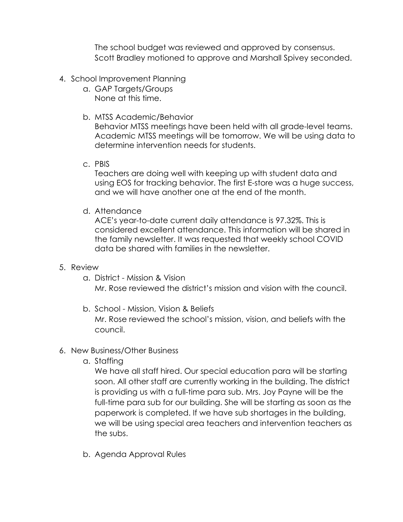The school budget was reviewed and approved by consensus. Scott Bradley motioned to approve and Marshall Spivey seconded.

- 4. School Improvement Planning
	- a. GAP Targets/Groups None at this time.
	- b. MTSS Academic/Behavior

Behavior MTSS meetings have been held with all grade-level teams. Academic MTSS meetings will be tomorrow. We will be using data to determine intervention needs for students.

c. PBIS

Teachers are doing well with keeping up with student data and using EOS for tracking behavior. The first E-store was a huge success, and we will have another one at the end of the month.

d. Attendance

ACE's year-to-date current daily attendance is 97.32%. This is considered excellent attendance. This information will be shared in the family newsletter. It was requested that weekly school COVID data be shared with families in the newsletter.

## 5. Review

a. District - Mission & Vision

Mr. Rose reviewed the district's mission and vision with the council.

b. School - Mission, Vision & Beliefs

Mr. Rose reviewed the school's mission, vision, and beliefs with the council.

- 6. New Business/Other Business
	- a. Staffing

We have all staff hired. Our special education para will be starting soon. All other staff are currently working in the building. The district is providing us with a full-time para sub. Mrs. Joy Payne will be the full-time para sub for our building. She will be starting as soon as the paperwork is completed. If we have sub shortages in the building, we will be using special area teachers and intervention teachers as the subs.

b. Agenda Approval Rules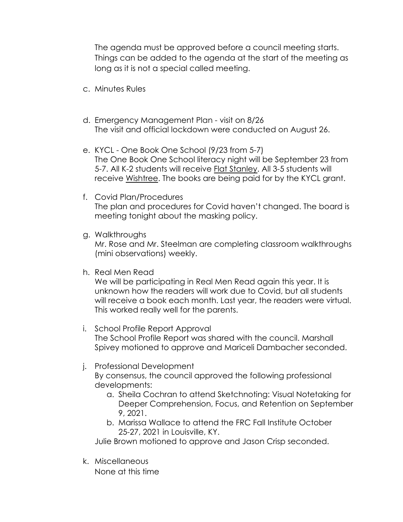The agenda must be approved before a council meeting starts. Things can be added to the agenda at the start of the meeting as long as it is not a special called meeting.

- c. Minutes Rules
- d. Emergency Management Plan visit on 8/26 The visit and official lockdown were conducted on August 26.
- e. KYCL One Book One School (9/23 from 5-7) The One Book One School literacy night will be September 23 from 5-7. All K-2 students will receive Flat Stanley. All 3-5 students will receive Wishtree. The books are being paid for by the KYCL grant.
- f. Covid Plan/Procedures The plan and procedures for Covid haven't changed. The board is meeting tonight about the masking policy.
- g. Walkthroughs

Mr. Rose and Mr. Steelman are completing classroom walkthroughs (mini observations) weekly.

h. Real Men Read

We will be participating in Real Men Read again this year. It is unknown how the readers will work due to Covid, but all students will receive a book each month. Last year, the readers were virtual. This worked really well for the parents.

- i. School Profile Report Approval The School Profile Report was shared with the council. Marshall Spivey motioned to approve and Mariceli Dambacher seconded.
- j. Professional Development

By consensus, the council approved the following professional developments:

- a. Sheila Cochran to attend Sketchnoting: Visual Notetaking for Deeper Comprehension, Focus, and Retention on September 9, 2021.
- b. Marissa Wallace to attend the FRC Fall Institute October 25-27, 2021 in Louisville, KY.

Julie Brown motioned to approve and Jason Crisp seconded.

k. Miscellaneous None at this time